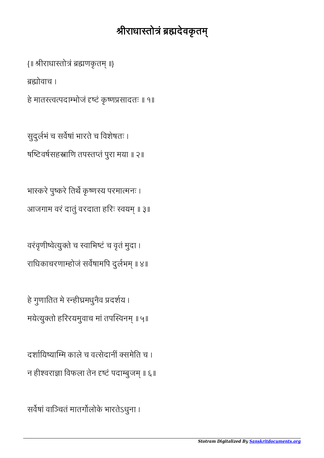## श्रीराधास्तोत्रं ब्रह्मदेवकृतम्

{॥ श्रीराधास्तोत्रं ब्रह्मणकृतम् ॥}

ोवाच ।

हे मातस्त्वत्पदाम्भोजं दृष्टं कृष्णप्रसादतः ॥ १॥

सुदुलभं च सवषां भारते च िवशेषतः । षष्टिवर्षसहस्राणि तपस्तप्तं पुरा मया ॥ २॥

भास्करे पुष्करे तिर्थे कृष्णस्य परमात्मनः । आजगाम वरं दातुं वरदाता हरिः स्वयम् ॥ ३॥

वरंवृणीवेयुते च वािभटं च वृतं मुदा । राधिकाचरणाम्होजं सर्वेषामपि दुर्लभम् ॥ ४॥

हे गुणातित मे स्न्हीघ्रमधुनैव प्रदर्शय । मयेत्युक्तो हरिरयमुवाच मां तपस्विनम् ॥ ५॥

दर्शायिष्याम्मि काले च वत्सेदानीं क्समेति च । न हीश्वराज्ञा विफला तेन दृष्टं पदाम्बुजम् ॥ ६॥

सर्वेषां वाञ्चितं मातर्गोलोके भारतेऽधुना ।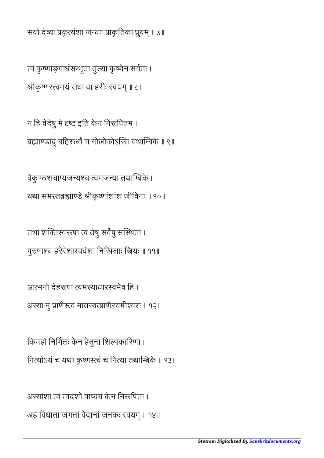अस्यांशा त्वं त्वदंशो वाप्ययं केन निरूपितः । अहं विधाता जगतां वेदानां जनकः स्वयम् ॥ १४॥

नित्योऽयं च यथा कृष्णस्त्वं च नित्या तथाम्बिके ॥ १३॥

आत्मनो देहरूपा त्वमस्याधारस्वमेव हि । अस्या नु प्राणैस्त्वं मातस्वत्प्राणैरयमीश्वरः ॥ १२॥

किमहो निर्मितः केन हेतुना शिल्पकारिणा ।

तथा शक्तिस्वरूपा त्वं तेषु सर्वेषु संस्थिता । पुरुषाश्च हरेरंशास्वदंशा निखिलाः स्त्रियः ॥ ११॥

वैकुण्ठशचाप्यजन्यश्च त्वमजन्या तथाम्बिके । यथा समस्तब्रह्माण्डे श्रीकृष्णांशांश जीविनः ॥ १०॥

न हि वेदेषु मे दृष्ट इति केन निरूपितम् । ब्रह्माण्डाद् बहिरूर्ध्वं च गोलोकोऽस्ति यथाम्बिके ॥ ९॥

त्वं कृष्णाङ्गार्धसम्भूता तुल्या कृष्णेन सर्वतः । श्रीकृष्णस्त्वमयं राधा वा हरीः स्वयम् ॥ ८॥

सर्वा देव्यः प्रकृत्यंशा जन्याः प्राकृतिका ध्रुवम् ॥ ७॥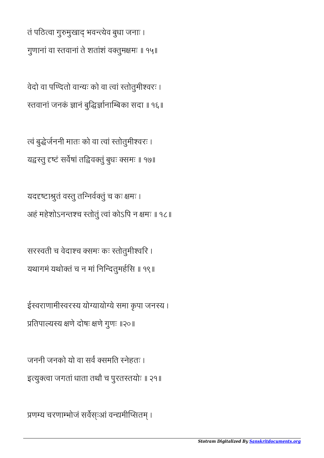प्रणम्य चरणाम्भोजं सर्वेस्ःआं वन्द्यमीप्सितम् ।

जननी जनको यो वा सर्वं क्समति स्नेहतः । इत्युक्त्वा जगतां धाता तथौ च पुरतस्तयोः ॥ २१॥

ईस्वराणामीस्वरस्य योग्यायोग्ये समा कृपा जनस्य । प्रतिपाल्यस्य क्षणे दोषः क्षणे गुणः ॥२०॥

सरस्वती च वेदाश्च क्समः कः स्तोतुमीश्वरि । यथागमं यथोक्तं च न मां निन्दितुमर्हसि ॥ १९॥

यददृष्टाश्रुतं वस्तु तन्निर्वक्तुं च कः क्षमः । अहं महेशोऽनन्तश्च स्तोतुं त्वां कोऽपि न क्षमः ॥ १८॥

त्वं बुद्धेर्जननी मातः को वा त्वां स्तोतुमीश्वरः । यद्वस्तु दृष्टं सर्वेषां तद्विवक्तुं बुधः क्समः ॥ १७॥

वेदो वा पण्दितो वान्यः को वा त्वां स्तोतुमीश्वरः । रतवानां जनकं ज्ञानं बुद्धिर्ज्ञानाम्बिका सदा ॥ १६॥

तं पठित्वा गुरुमुखाद् भवन्त्येव बुधा जनाः । गुणानां वा तवानां ते शतांशं वतुममः ॥ १५॥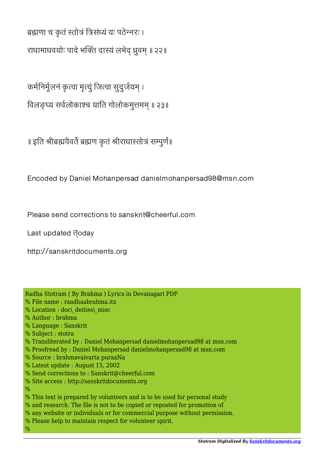ब्रह्मणा च कृतं स्तोत्रं त्रिसंध्यं यः पठेन्नरः ।

राधामाधवयोः पादे भक्तिं दास्यं लभेद् ध्रुवम् ॥ २२॥

कर्मनिर्मूलनं कृत्वा मृत्युं जित्वा सुदुर्जयम् ।

विलङ्घ्य सर्वलोकाश्च याति गोलोकमुत्तमम् ॥ २३॥

॥ इति श्रीब्रह्मवेवर्ते ब्रह्मण कृतं श्रीराधास्तोत्रं सम्पुर्णं॥

Encoded by Daniel Mohanpersad danielmohanpersad98@msn.com

Please send corrections to sanskrit@cheerful.com

Last updated **doday** 

http://sanskritdocuments.org

| Radha Stotram (By Brahma) Lyrics in Devanagari PDF                         |
|----------------------------------------------------------------------------|
| % File name : raadhaabrahma.itx                                            |
| % Location : doc\ deities\ misc                                            |
| % Author : brahma                                                          |
| % Language : Sanskrit                                                      |
| % Subject : stotra                                                         |
| % Transliterated by : Daniel Mohanpersad danielmohanpersad98 at msn.com    |
| % Proofread by : Daniel Mohanpersad danielmohanpersad98 at msn.com         |
| % Source : brahmavaivarta puraaNa                                          |
| % Latest update: August 15, 2002                                           |
| % Send corrections to: Sanskrit@cheerful.com                               |
| % Site access : http://sanskritdocuments.org                               |
| %                                                                          |
| % This text is prepared by volunteers and is to be used for personal study |
| % and research. The file is not to be copied or reposted for promotion of  |
| % any website or individuals or for commercial purpose without permission. |
| % Please help to maintain respect for volunteer spirit.                    |
| $\%$                                                                       |